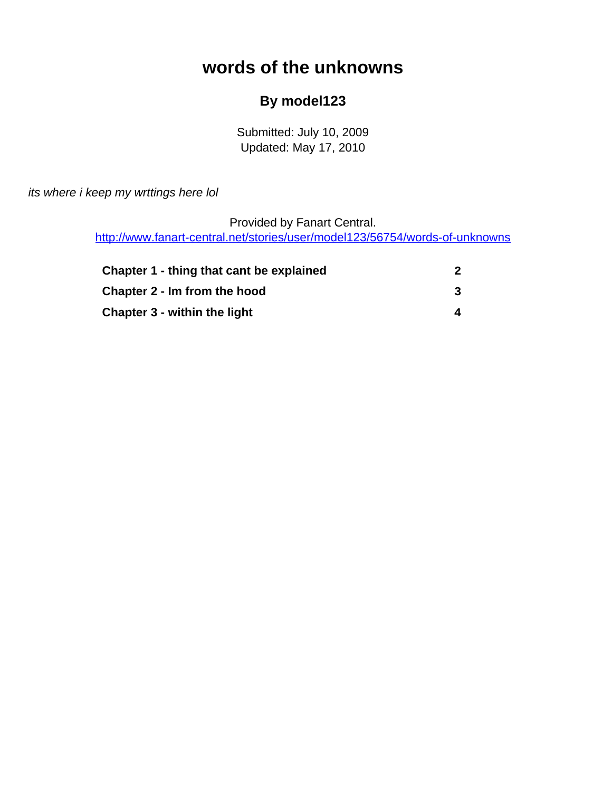# **words of the unknowns**

#### **By model123**

Submitted: July 10, 2009 Updated: May 17, 2010

<span id="page-0-0"></span>its where i keep my wrttings here lol

Provided by Fanart Central.

[http://www.fanart-central.net/stories/user/model123/56754/words-of-unknowns](#page-0-0)

| Chapter 1 - thing that cant be explained |  |
|------------------------------------------|--|
| Chapter 2 - Im from the hood             |  |
| Chapter 3 - within the light             |  |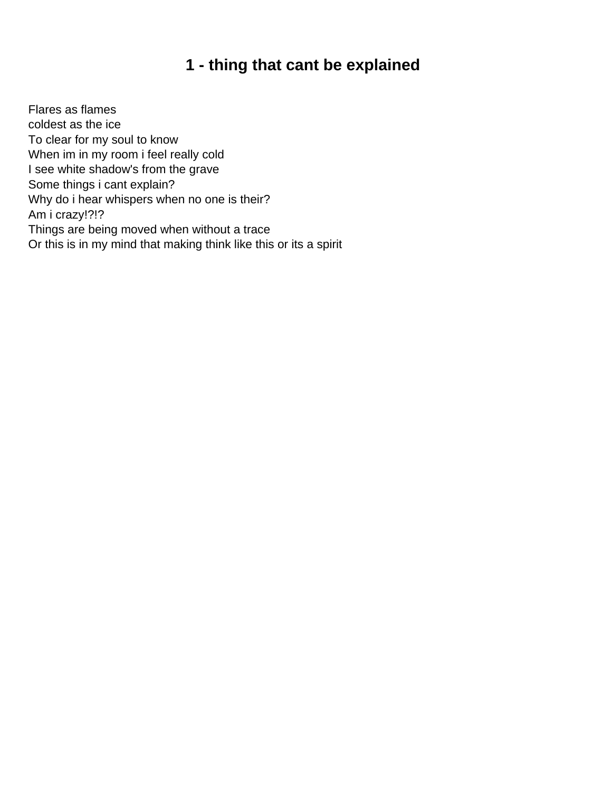### **1 - thing that cant be explained**

<span id="page-1-0"></span>Flares as flames coldest as the ice To clear for my soul to know When im in my room i feel really cold I see white shadow's from the grave Some things i cant explain? Why do i hear whispers when no one is their? Am i crazy!?!? Things are being moved when without a trace Or this is in my mind that making think like this or its a spirit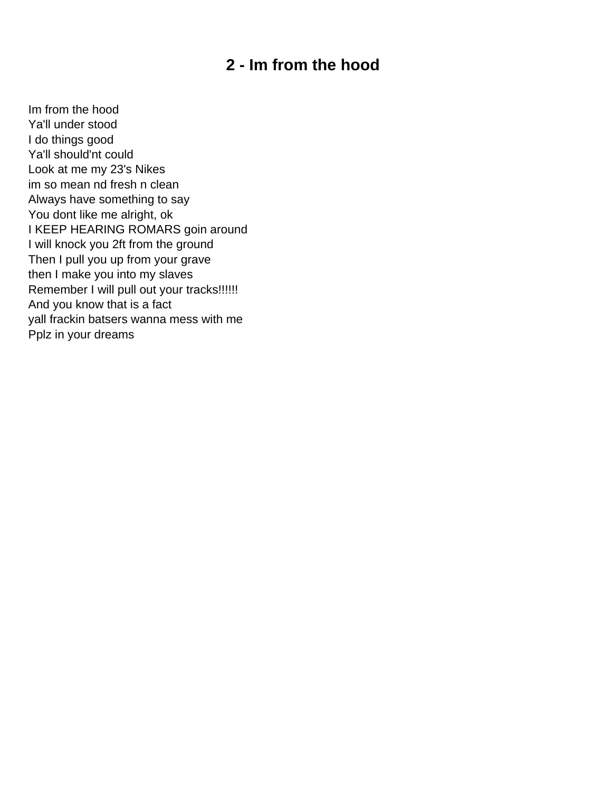### **2 - Im from the hood**

<span id="page-2-0"></span>Im from the hood Ya'll under stood I do things good Ya'll should'nt could Look at me my 23's Nikes im so mean nd fresh n clean Always have something to say You dont like me alright, ok I KEEP HEARING ROMARS goin around I will knock you 2ft from the ground Then I pull you up from your grave then I make you into my slaves Remember I will pull out your tracks!!!!!! And you know that is a fact yall frackin batsers wanna mess with me Pplz in your dreams